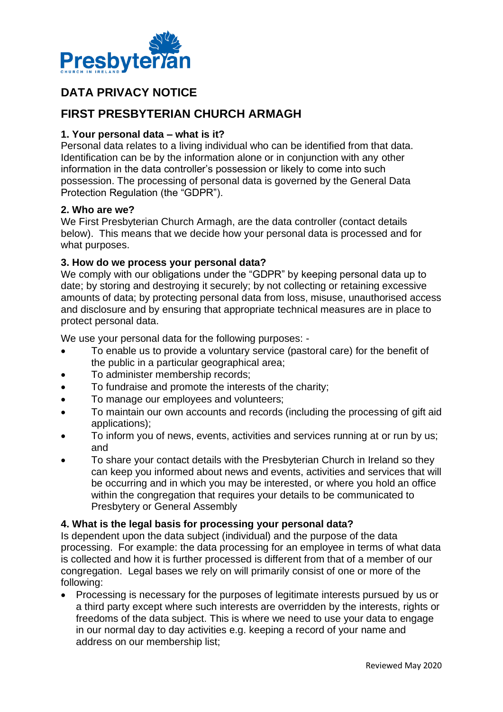

# **DATA PRIVACY NOTICE**

## **FIRST PRESBYTERIAN CHURCH ARMAGH**

#### **1. Your personal data – what is it?**

Personal data relates to a living individual who can be identified from that data. Identification can be by the information alone or in conjunction with any other information in the data controller's possession or likely to come into such possession. The processing of personal data is governed by the General Data Protection Regulation (the "GDPR").

#### **2. Who are we?**

We First Presbyterian Church Armagh, are the data controller (contact details below). This means that we decide how your personal data is processed and for what purposes.

#### **3. How do we process your personal data?**

We comply with our obligations under the "GDPR" by keeping personal data up to date; by storing and destroying it securely; by not collecting or retaining excessive amounts of data; by protecting personal data from loss, misuse, unauthorised access and disclosure and by ensuring that appropriate technical measures are in place to protect personal data.

We use your personal data for the following purposes: -

- To enable us to provide a voluntary service (pastoral care) for the benefit of the public in a particular geographical area;
- To administer membership records;
- To fundraise and promote the interests of the charity;
- To manage our employees and volunteers;
- To maintain our own accounts and records (including the processing of gift aid applications);
- To inform you of news, events, activities and services running at or run by us; and
- To share your contact details with the Presbyterian Church in Ireland so they can keep you informed about news and events, activities and services that will be occurring and in which you may be interested, or where you hold an office within the congregation that requires your details to be communicated to Presbytery or General Assembly

#### **4. What is the legal basis for processing your personal data?**

Is dependent upon the data subject (individual) and the purpose of the data processing. For example: the data processing for an employee in terms of what data is collected and how it is further processed is different from that of a member of our congregation. Legal bases we rely on will primarily consist of one or more of the following:

• Processing is necessary for the purposes of legitimate interests pursued by us or a third party except where such interests are overridden by the interests, rights or freedoms of the data subject. This is where we need to use your data to engage in our normal day to day activities e.g. keeping a record of your name and address on our membership list;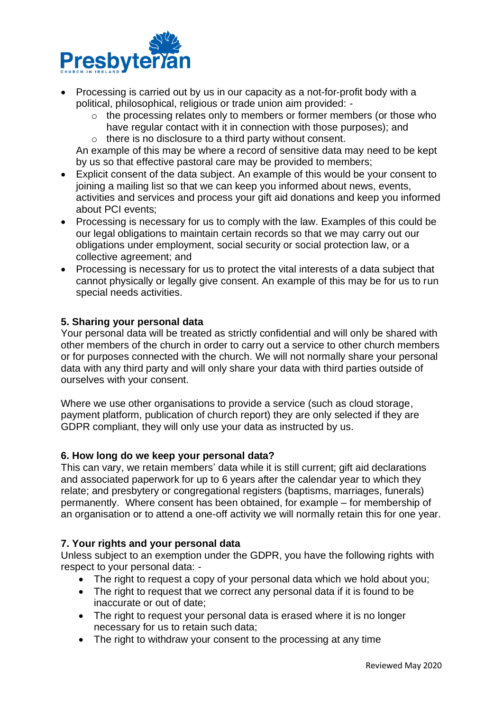

- Processing is carried out by us in our capacity as a not-for-profit body with a political, philosophical, religious or trade union aim provided:
	- o the processing relates only to members or former members (or those who have regular contact with it in connection with those purposes); and
	- o there is no disclosure to a third party without consent.

An example of this may be where a record of sensitive data may need to be kept by us so that effective pastoral care may be provided to members;

- Explicit consent of the data subject. An example of this would be your consent to joining a mailing list so that we can keep you informed about news, events, activities and services and process your gift aid donations and keep you informed about PCI events;
- Processing is necessary for us to comply with the law. Examples of this could be our legal obligations to maintain certain records so that we may carry out our obligations under employment, social security or social protection law, or a collective agreement; and
- Processing is necessary for us to protect the vital interests of a data subject that cannot physically or legally give consent. An example of this may be for us to run special needs activities.

#### **5. Sharing your personal data**

Your personal data will be treated as strictly confidential and will only be shared with other members of the church in order to carry out a service to other church members or for purposes connected with the church. We will not normally share your personal data with any third party and will only share your data with third parties outside of ourselves with your consent.

Where we use other organisations to provide a service (such as cloud storage, payment platform, publication of church report) they are only selected if they are GDPR compliant, they will only use your data as instructed by us.

#### **6. How long do we keep your personal data?**

This can vary, we retain members' data while it is still current; gift aid declarations and associated paperwork for up to 6 years after the calendar year to which they relate; and presbytery or congregational registers (baptisms, marriages, funerals) permanently. Where consent has been obtained, for example – for membership of an organisation or to attend a one-off activity we will normally retain this for one year.

#### **7. Your rights and your personal data**

Unless subject to an exemption under the GDPR, you have the following rights with respect to your personal data: -

- The right to request a copy of your personal data which we hold about you;
- The right to request that we correct any personal data if it is found to be inaccurate or out of date;
- The right to request your personal data is erased where it is no longer necessary for us to retain such data;
- The right to withdraw your consent to the processing at any time